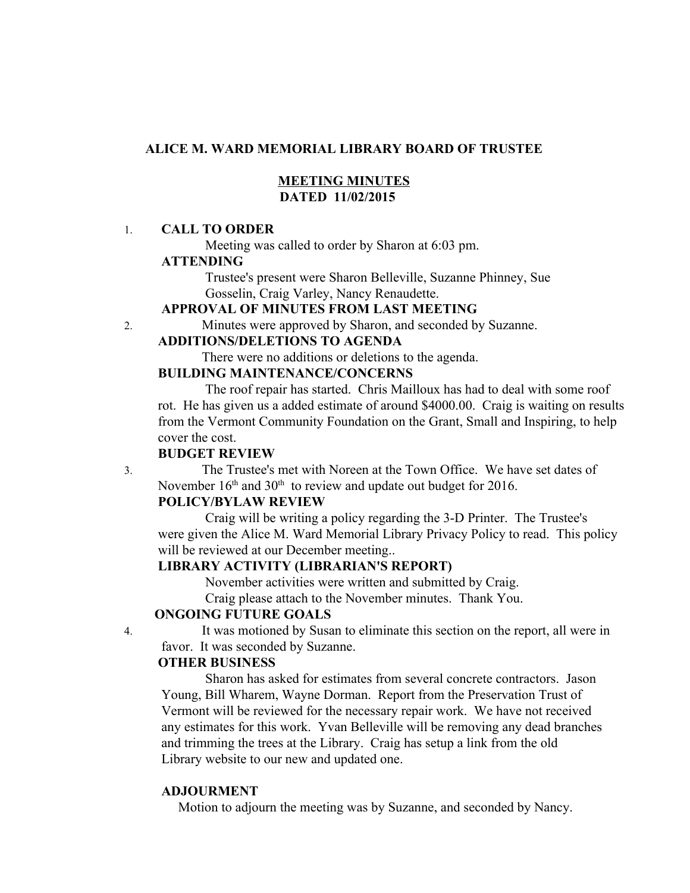## **ALICE M. WARD MEMORIAL LIBRARY BOARD OF TRUSTEE**

## **MEETING MINUTES DATED 11/02/2015**

#### 1. **CALL TO ORDER**

Meeting was called to order by Sharon at 6:03 pm.

#### **ATTENDING**

Trustee's present were Sharon Belleville, Suzanne Phinney, Sue Gosselin, Craig Varley, Nancy Renaudette.

#### **APPROVAL OF MINUTES FROM LAST MEETING**

2. Minutes were approved by Sharon, and seconded by Suzanne.

## **ADDITIONS/DELETIONS TO AGENDA**

There were no additions or deletions to the agenda.

## **BUILDING MAINTENANCE/CONCERNS**

The roof repair has started. Chris Mailloux has had to deal with some roof rot. He has given us a added estimate of around \$4000.00. Craig is waiting on results from the Vermont Community Foundation on the Grant, Small and Inspiring, to help cover the cost.

#### **BUDGET REVIEW**

3. The Trustee's met with Noreen at the Town Office. We have set dates of November  $16<sup>th</sup>$  and  $30<sup>th</sup>$  to review and update out budget for 2016.

## **POLICY/BYLAW REVIEW**

Craig will be writing a policy regarding the 3-D Printer. The Trustee's were given the Alice M. Ward Memorial Library Privacy Policy to read. This policy will be reviewed at our December meeting...

# **LIBRARY ACTIVITY (LIBRARIAN'S REPORT)**

November activities were written and submitted by Craig.

Craig please attach to the November minutes. Thank You.

# **ONGOING FUTURE GOALS**

4. It was motioned by Susan to eliminate this section on the report, all were in favor. It was seconded by Suzanne.

### **OTHER BUSINESS**

 Sharon has asked for estimates from several concrete contractors. Jason Young, Bill Wharem, Wayne Dorman. Report from the Preservation Trust of Vermont will be reviewed for the necessary repair work. We have not received any estimates for this work. Yvan Belleville will be removing any dead branches and trimming the trees at the Library. Craig has setup a link from the old Library website to our new and updated one.

#### **ADJOURMENT**

Motion to adjourn the meeting was by Suzanne, and seconded by Nancy.